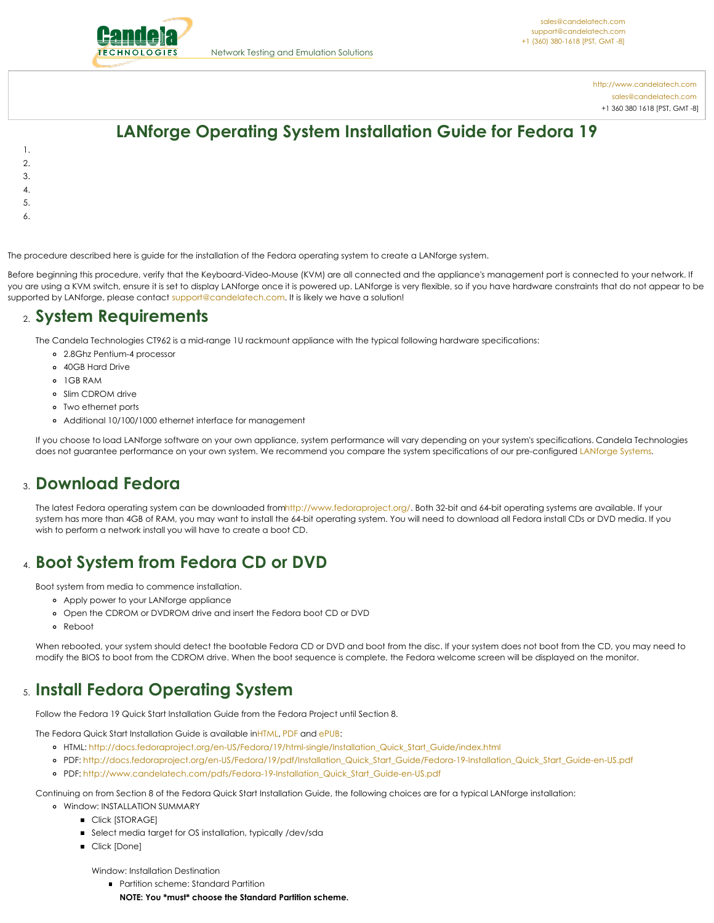<span id="page-0-0"></span>

<http://www.candelatech.com> [sales@candelatech.com](mailto:sales@candelatech.com) +1 360 380 1618 [PST, GMT -8]

# **LANforge Operating System Installation Guide for Fedora 19**

- 1.
- 2.
- 3.
- 4.
- 5.
- 6.
- 

The procedure described here is guide for the installation of the Fedora operating system to create a LANforge system.

Before beginning this procedure, verify that the Keyboard-Video-Mouse (KVM) are all connected and the appliance's management port is connected to your network. If you are using a KVM switch, ensure it is set to display LANforge once it is powered up. LANforge is very flexible, so if you have hardware constraints that do not appear to be supported by LANforge, please contact [support@candelatech.com](mailto:sales@candelatech.com). It is likely we have a solution!

#### 2. **System Requirements**

The Candela Technologies CT962 is a mid-range 1U rackmount appliance with the typical following hardware specifications:

- 2.8Ghz Pentium-4 processor
- 40GB Hard Drive
- 1GB RAM
- o Slim CDROM drive
- Two ethernet ports
- Additional 10/100/1000 ethernet interface for management

If you choose to load LANforge software on your own appliance, system performance will vary depending on your system's specifications. Candela Technologies does not guarantee performance on your own system. We recommend you compare the system specifications of our pre-configured [LANforge](http://www.candelatech.com/lf_systems.html) Systems.

#### 3. **Download Fedora**

The latest Fedora operating system can be downloaded fro[mhttp://www.fedoraproject.org/](http://www.fedoraproject.org/). Both 32-bit and 64-bit operating systems are available. If your system has more than 4GB of RAM, you may want to install the 64-bit operating system. You will need to download all Fedora install CDs or DVD media. If you wish to perform a network install you will have to create a boot CD.

## 4. **Boot System from Fedora CD or DVD**

Boot system from media to commence installation.

- Apply power to your LANforge appliance
- Open the CDROM or DVDROM drive and insert the Fedora boot CD or DVD
- Reboot

When rebooted, your system should detect the bootable Fedora CD or DVD and boot from the disc. If your system does not boot from the CD, you may need to modify the BIOS to boot from the CDROM drive. When the boot sequence is complete, the Fedora welcome screen will be displayed on the monitor.

#### 5. **Install Fedora Operating System**

Follow the Fedora 19 Quick Start Installation Guide from the Fedora Project until Section 8.

The Fedora Quick Start Installation Guide is available i[nHTML](http://docs.fedoraproject.org/en-US/Fedora/19/html-single/Installation_Quick_Start_Guide/index.html), [PDF](http://docs.fedoraproject.org/en-US/Fedora/19/pdf/Installation_Quick_Start_Guide/Fedora-19-Installation_Quick_Start_Guide-en-US.pdf) and [ePUB](http://docs.fedoraproject.org/en-US/Fedora/19/epub/Installation_Quick_Start_Guide/Fedora-19-Installation_Quick_Start_Guide-en-US.epub):

- HTML: [http://docs.fedoraproject.org/en-US/Fedora/19/html-single/Installation\\_Quick\\_Start\\_Guide/index.htm](http://docs.fedoraproject.org/en-US/Fedora/19/html-single/Installation_Quick_Start_Guide/index.html)l
- o PDF: [http://docs.fedoraproject.org/en-US/Fedora/19/pdf/Installation\\_Quick\\_Start\\_Guide/Fedora-19-Installation\\_Quick\\_Start\\_Guide-en-US.pdf](http://docs.fedoraproject.org/en-US/Fedora/19/pdf/Installation_Quick_Start_Guide/Fedora-19-Installation_Quick_Start_Guide-en-US.pdf)
- PDF: [http://www.candelatech.com/pdfs/Fedora-19-Installation\\_Quick\\_Start\\_Guide-en-US.pdf](http://www.candelatech.com/pdfs/Fedora-19-Installation_Quick_Start_Guide-en-US.pdf)

Continuing on from Section 8 of the Fedora Quick Start Installation Guide, the following choices are for a typical LANforge installation:

- Window: INSTALLATION SUMMARY
	- **Click [STORAGE]**
	- Select media target for OS installation, typically /dev/sda
	- **Click [Done]**

Window: Installation Destination

- **•** Partition scheme: Standard Partition
	- **NOTE: You \*must\* choose the Standard Partition scheme.**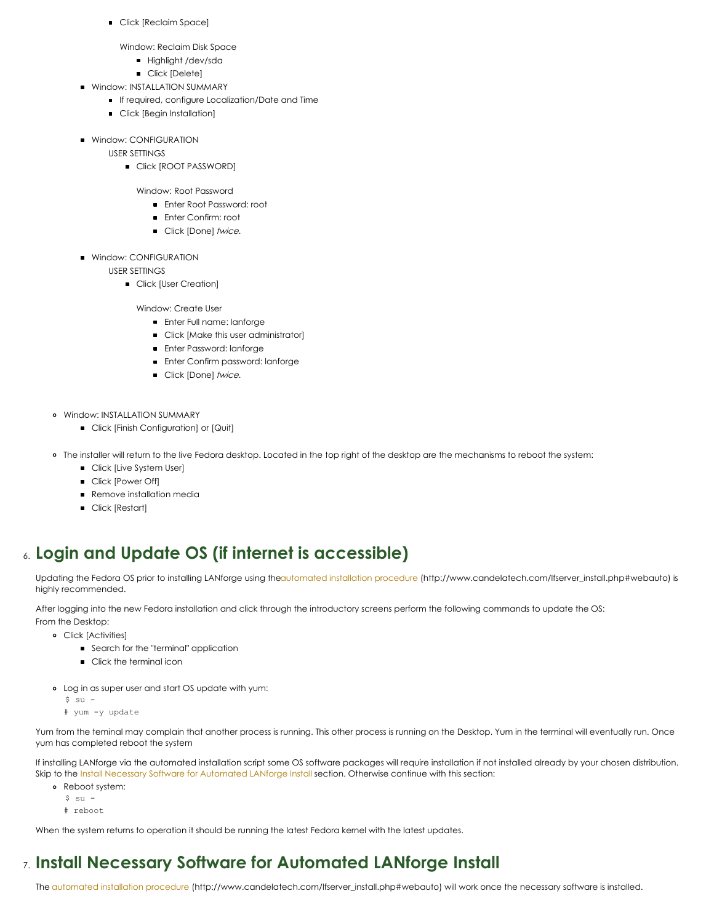Click [Reclaim Space]

Window: Reclaim Disk Space

- **Highlight /dev/sda**
- **Click [Delete]**
- **Window: INSTALLATION SUMMARY** 
	- If required, configure Localization/Date and Time
	- **Click [Begin Installation]**
- **Window: CONFIGURATION** 
	- USER SETTINGS
		- **Click [ROOT PASSWORD]** 
			- Window: Root Password
				- Enter Root Password: root
				- **Enter Confirm: root**
				- Click [Done] twice.
- **Window: CONFIGURATION**

USER SETTINGS

**Click [User Creation]** 

Window: Create User

- **Enter Full name: lanforge**
- Click [Make this user administrator]
- **Enter Password: lanforge**
- **Enter Confirm password: lanforge**
- Click [Done] twice.
- Window: INSTALLATION SUMMARY
	- Click [Finish Configuration] or [Quit]
- The installer will return to the live Fedora desktop. Located in the top right of the desktop are the mechanisms to reboot the system:
	- Click [Live System User]
	- **Click [Power Off]**
	- **Remove installation media**
	- **Click [Restart]**

## 6. **Login and Update OS (if internet is accessible)**

Updating the Fedora OS prior to installing LANforge using th[eautomated](http://www.candelatech.com/lfserver_install.php#webauto) installation procedure (http://www.candelatech.com/lfserver\_install.php#webauto) is highly recommended.

After logging into the new Fedora installation and click through the introductory screens perform the following commands to update the OS:

From the Desktop: Click [Activities]

- **Search for the "terminal" application**
- **Click the terminal icon**
- Log in as super user and start OS update with yum:
	- $$ su -$
	- # yum -y update

Yum from the teminal may complain that another process is running. This other process is running on the Desktop. Yum in the terminal will eventually run. Once yum has completed reboot the system

If installing LANforge via the automated installation script some OS software packages will require installation if not installed already by your chosen distribution. Skip to the Install Necessary Software for [Automated](#page-0-0) LANforge Install section. Otherwise continue with this section:

- Reboot system:
	- $$ su -$
	- # reboot

When the system returns to operation it should be running the latest Fedora kernel with the latest updates.

## 7. **Install Necessary Software for Automated LANforge Install**

The [automated](http://www.candelatech.com/lfserver_install.php#webauto) installation procedure (http://www.candelatech.com/lfserver\_install.php#webauto) will work once the necessary software is installed.